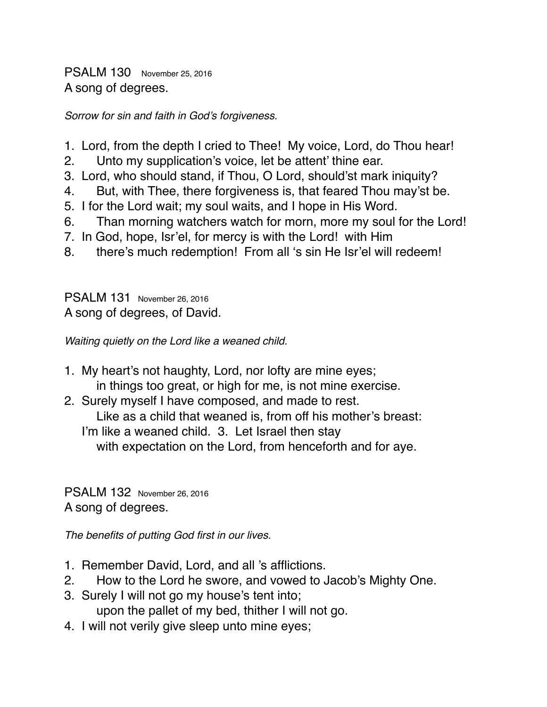PSALM 130 November 25, 2016 A song of degrees.

*Sorrow for sin and faith in God's forgiveness.*

- 1. Lord, from the depth I cried to Thee! My voice, Lord, do Thou hear!
- 2. Unto my supplication's voice, let be attent' thine ear.
- 3. Lord, who should stand, if Thou, O Lord, should'st mark iniquity?
- 4. But, with Thee, there forgiveness is, that feared Thou may'st be.
- 5. I for the Lord wait; my soul waits, and I hope in His Word.
- 6. Than morning watchers watch for morn, more my soul for the Lord!
- 7. In God, hope, Isr'el, for mercy is with the Lord! with Him
- 8. there's much redemption! From all 's sin He Isr'el will redeem!

PSALM 131 November 26, 2016 A song of degrees, of David.

*Waiting quietly on the Lord like a weaned child.*

- 1. My heart's not haughty, Lord, nor lofty are mine eyes; in things too great, or high for me, is not mine exercise.
- 2. Surely myself I have composed, and made to rest. Like as a child that weaned is, from off his mother's breast: I'm like a weaned child. 3. Let Israel then stay with expectation on the Lord, from henceforth and for aye.

PSALM 132 November 26, 2016 A song of degrees.

*The benefits of putting God first in our lives.*

- 1. Remember David, Lord, and all 's afflictions.
- 2. How to the Lord he swore, and vowed to Jacob's Mighty One.
- 3. Surely I will not go my house's tent into; upon the pallet of my bed, thither I will not go.
- 4. I will not verily give sleep unto mine eyes;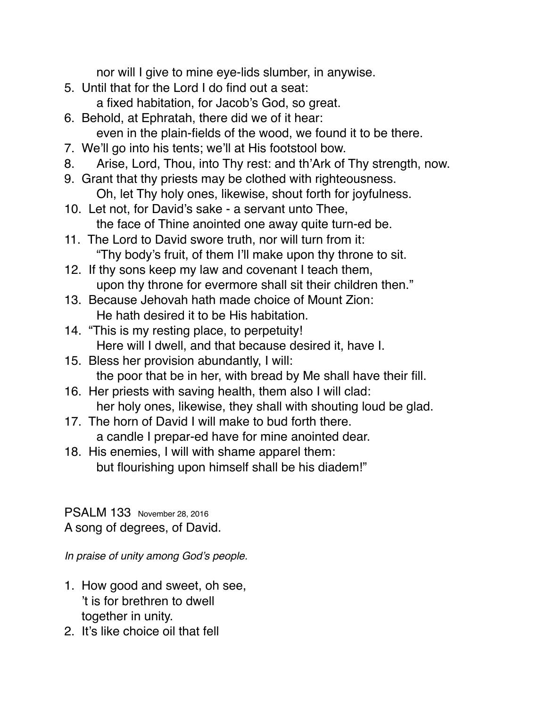nor will I give to mine eye-lids slumber, in anywise.

- 5. Until that for the Lord I do find out a seat:
	- a fixed habitation, for Jacob's God, so great.
- 6. Behold, at Ephratah, there did we of it hear: even in the plain-fields of the wood, we found it to be there.
- 7. We'll go into his tents; we'll at His footstool bow.
- 8. Arise, Lord, Thou, into Thy rest: and th'Ark of Thy strength, now.
- 9. Grant that thy priests may be clothed with righteousness. Oh, let Thy holy ones, likewise, shout forth for joyfulness.
- 10. Let not, for David's sake a servant unto Thee, the face of Thine anointed one away quite turn-ed be.
- 11. The Lord to David swore truth, nor will turn from it: "Thy body's fruit, of them I'll make upon thy throne to sit.
- 12. If thy sons keep my law and covenant I teach them, upon thy throne for evermore shall sit their children then."
- 13. Because Jehovah hath made choice of Mount Zion: He hath desired it to be His habitation.
- 14. "This is my resting place, to perpetuity! Here will I dwell, and that because desired it, have I.
- 15. Bless her provision abundantly, I will: the poor that be in her, with bread by Me shall have their fill.
- 16. Her priests with saving health, them also I will clad: her holy ones, likewise, they shall with shouting loud be glad.
- 17. The horn of David I will make to bud forth there. a candle I prepar-ed have for mine anointed dear.
- 18. His enemies, I will with shame apparel them: but flourishing upon himself shall be his diadem!"

PSALM 133 November 28, 2016 A song of degrees, of David.

*In praise of unity among God's people.*

- 1. How good and sweet, oh see, 't is for brethren to dwell together in unity.
- 2. It's like choice oil that fell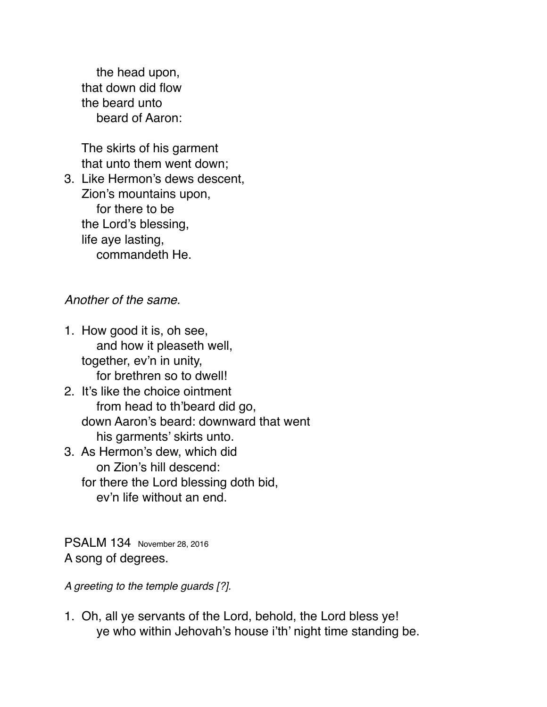the head upon, that down did flow the beard unto beard of Aaron:

 The skirts of his garment that unto them went down;

3. Like Hermon's dews descent, Zion's mountains upon, for there to be the Lord's blessing, life aye lasting, commandeth He.

## *Another of the same.*

- 1. How good it is, oh see, and how it pleaseth well, together, ev'n in unity, for brethren so to dwell!
- 2. It's like the choice ointment from head to th'beard did go, down Aaron's beard: downward that went his garments' skirts unto.
- 3. As Hermon's dew, which did on Zion's hill descend: for there the Lord blessing doth bid, ev'n life without an end.

PSALM 134 November 28, 2016 A song of degrees.

*A greeting to the temple guards [?].*

1. Oh, all ye servants of the Lord, behold, the Lord bless ye! ye who within Jehovah's house i'th' night time standing be.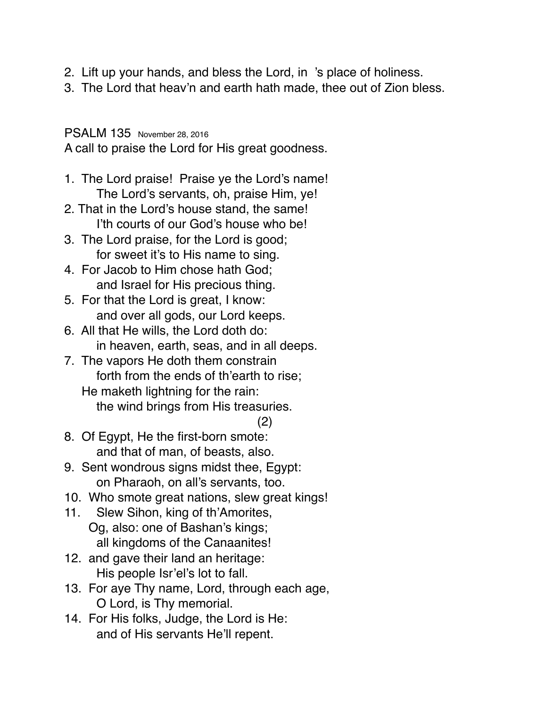- 2. Lift up your hands, and bless the Lord, in 's place of holiness.
- 3. The Lord that heav'n and earth hath made, thee out of Zion bless.

PSALM 135 November 28, 2016

A call to praise the Lord for His great goodness.

- 1. The Lord praise! Praise ye the Lord's name! The Lord's servants, oh, praise Him, ye!
- 2. That in the Lord's house stand, the same! I'th courts of our God's house who be!
- 3. The Lord praise, for the Lord is good; for sweet it's to His name to sing.
- 4. For Jacob to Him chose hath God; and Israel for His precious thing.
- 5. For that the Lord is great, I know: and over all gods, our Lord keeps.
- 6. All that He wills, the Lord doth do: in heaven, earth, seas, and in all deeps.
- 7. The vapors He doth them constrain forth from the ends of th'earth to rise; He maketh lightning for the rain: the wind brings from His treasuries.

(2)

- 8. Of Egypt, He the first-born smote: and that of man, of beasts, also.
- 9. Sent wondrous signs midst thee, Egypt: on Pharaoh, on all's servants, too.
- 10. Who smote great nations, slew great kings!
- 11. Slew Sihon, king of th'Amorites, Og, also: one of Bashan's kings;
	- all kingdoms of the Canaanites!
- 12. and gave their land an heritage: His people Isr'el's lot to fall.
- 13. For aye Thy name, Lord, through each age, O Lord, is Thy memorial.
- 14. For His folks, Judge, the Lord is He: and of His servants He'll repent.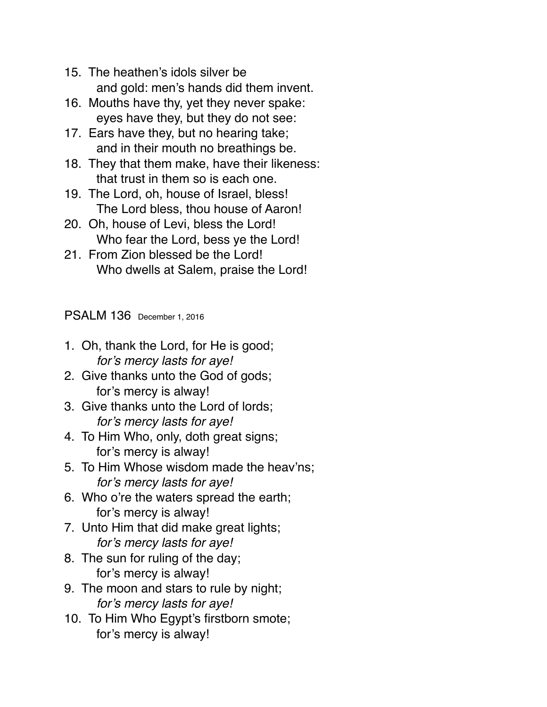- 15. The heathen's idols silver be and gold: men's hands did them invent.
- 16. Mouths have thy, yet they never spake: eyes have they, but they do not see:
- 17. Ears have they, but no hearing take; and in their mouth no breathings be.
- 18. They that them make, have their likeness: that trust in them so is each one.
- 19. The Lord, oh, house of Israel, bless! The Lord bless, thou house of Aaron!
- 20. Oh, house of Levi, bless the Lord! Who fear the Lord, bess ye the Lord!
- 21. From Zion blessed be the Lord! Who dwells at Salem, praise the Lord!

PSALM 136 December 1, 2016

- 1. Oh, thank the Lord, for He is good; *for's mercy lasts for aye!*
- 2. Give thanks unto the God of gods; for's mercy is alway!
- 3. Give thanks unto the Lord of lords; *for's mercy lasts for aye!*
- 4. To Him Who, only, doth great signs; for's mercy is alway!
- 5. To Him Whose wisdom made the heav'ns; *for's mercy lasts for aye!*
- 6. Who o're the waters spread the earth; for's mercy is alway!
- 7. Unto Him that did make great lights; *for's mercy lasts for aye!*
- 8. The sun for ruling of the day; for's mercy is alway!
- 9. The moon and stars to rule by night; *for's mercy lasts for aye!*
- 10. To Him Who Egypt's firstborn smote; for's mercy is alway!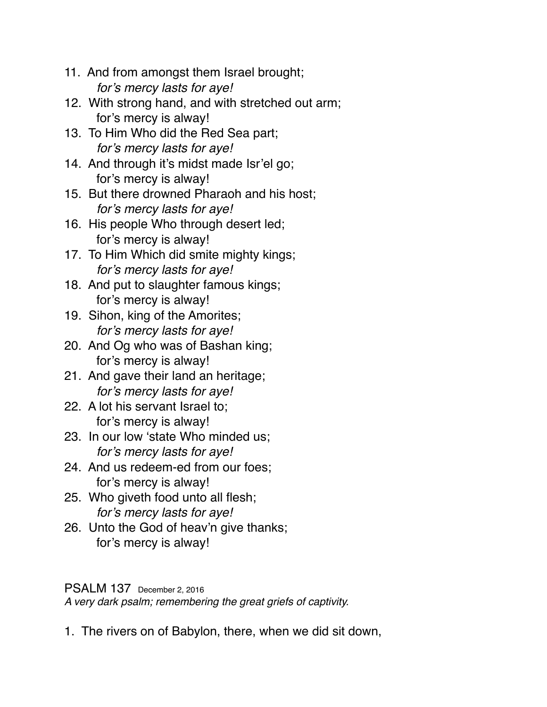- 11. And from amongst them Israel brought; *for's mercy lasts for aye!*
- 12. With strong hand, and with stretched out arm; for's mercy is alway!
- 13. To Him Who did the Red Sea part; *for's mercy lasts for aye!*
- 14. And through it's midst made Isr'el go; for's mercy is alway!
- 15. But there drowned Pharaoh and his host; *for's mercy lasts for aye!*
- 16. His people Who through desert led; for's mercy is alway!
- 17. To Him Which did smite mighty kings; *for's mercy lasts for aye!*
- 18. And put to slaughter famous kings; for's mercy is alway!
- 19. Sihon, king of the Amorites; *for's mercy lasts for aye!*
- 20. And Og who was of Bashan king; for's mercy is alway!
- 21. And gave their land an heritage; *for's mercy lasts for aye!*
- 22. A lot his servant Israel to; for's mercy is alway!
- 23. In our low 'state Who minded us; *for's mercy lasts for aye!*
- 24. And us redeem-ed from our foes; for's mercy is alway!
- 25. Who giveth food unto all flesh; *for's mercy lasts for aye!*
- 26. Unto the God of heav'n give thanks; for's mercy is alway!

## PSALM 137 December 2, 2016

*A very dark psalm; remembering the great griefs of captivity.*

1. The rivers on of Babylon, there, when we did sit down,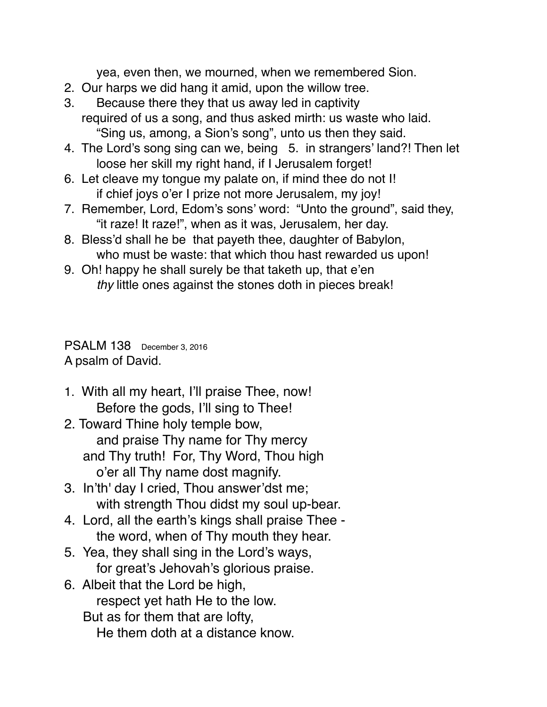yea, even then, we mourned, when we remembered Sion.

- 2. Our harps we did hang it amid, upon the willow tree.
- 3. Because there they that us away led in captivity required of us a song, and thus asked mirth: us waste who laid. "Sing us, among, a Sion's song", unto us then they said.
- 4. The Lord's song sing can we, being 5. in strangers' land?! Then let loose her skill my right hand, if I Jerusalem forget!
- 6. Let cleave my tongue my palate on, if mind thee do not I! if chief joys o'er I prize not more Jerusalem, my joy!
- 7. Remember, Lord, Edom's sons' word: "Unto the ground", said they, "it raze! It raze!", when as it was, Jerusalem, her day.
- 8. Bless'd shall he be that payeth thee, daughter of Babylon, who must be waste: that which thou hast rewarded us upon!
- 9. Oh! happy he shall surely be that taketh up, that e'en *thy* little ones against the stones doth in pieces break!

PSALM 138 December 3, 2016 A psalm of David.

- 1. With all my heart, I'll praise Thee, now! Before the gods, I'll sing to Thee!
- 2. Toward Thine holy temple bow, and praise Thy name for Thy mercy and Thy truth! For, Thy Word, Thou high o'er all Thy name dost magnify.
- 3. In'th' day I cried, Thou answer'dst me; with strength Thou didst my soul up-bear.
- 4. Lord, all the earth's kings shall praise Thee the word, when of Thy mouth they hear.
- 5. Yea, they shall sing in the Lord's ways, for great's Jehovah's glorious praise.
- 6. Albeit that the Lord be high, respect yet hath He to the low. But as for them that are lofty, He them doth at a distance know.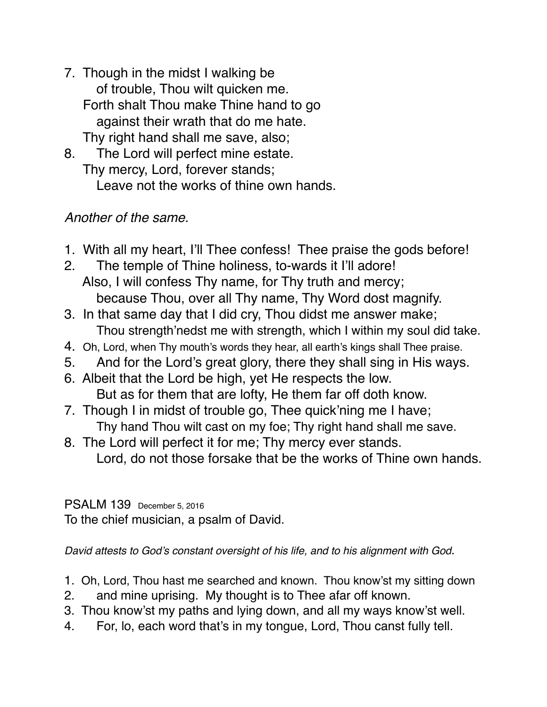- 7. Though in the midst I walking be of trouble, Thou wilt quicken me. Forth shalt Thou make Thine hand to go against their wrath that do me hate. Thy right hand shall me save, also;
- 8. The Lord will perfect mine estate. Thy mercy, Lord, forever stands; Leave not the works of thine own hands.

## *Another of the same.*

- 1. With all my heart, I'll Thee confess! Thee praise the gods before!
- 2. The temple of Thine holiness, to-wards it I'll adore! Also, I will confess Thy name, for Thy truth and mercy; because Thou, over all Thy name, Thy Word dost magnify.
- 3. In that same day that I did cry, Thou didst me answer make; Thou strength'nedst me with strength, which I within my soul did take.
- 4. Oh, Lord, when Thy mouth's words they hear, all earth's kings shall Thee praise.
- 5. And for the Lord's great glory, there they shall sing in His ways.
- 6. Albeit that the Lord be high, yet He respects the low. But as for them that are lofty, He them far off doth know.
- 7. Though I in midst of trouble go, Thee quick'ning me I have; Thy hand Thou wilt cast on my foe; Thy right hand shall me save.
- 8. The Lord will perfect it for me; Thy mercy ever stands. Lord, do not those forsake that be the works of Thine own hands.

PSALM 139 December 5, 2016 To the chief musician, a psalm of David.

*David attests to God's constant oversight of his life, and to his alignment with God*.

- 1. Oh, Lord, Thou hast me searched and known. Thou know'st my sitting down
- 2. and mine uprising. My thought is to Thee afar off known.
- 3. Thou know'st my paths and lying down, and all my ways know'st well.
- 4. For, lo, each word that's in my tongue, Lord, Thou canst fully tell.